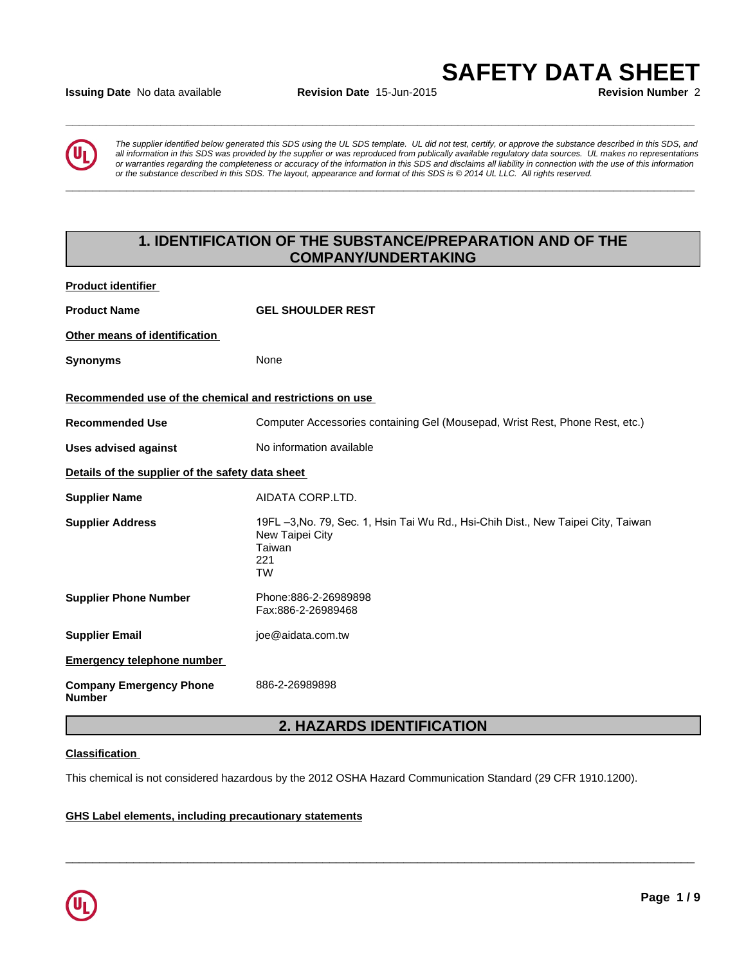## **Issuing Date** No data available **Revision Date** 15-Jun-2015 **Revision Number** 2



*The supplier identified below generated this SDS using the UL SDS template. UL did not test, certify, or approve the substance described in this SDS, and all information in this SDS was provided by the supplier or was reproduced from publically available regulatory data sources. UL makes no representations or warranties regarding the completeness or accuracy of the information in this SDS and disclaims all liability in connection with the use of this information* ate No data available<br>The supplier identified below generated this SDS using the UL SDS template. UL did not test, certify, or approve the substance described in this SDS, and<br>all information in this SDS was provided by th

**\_\_\_\_\_\_\_\_\_\_\_\_\_\_\_\_\_\_\_\_\_\_\_\_\_\_\_\_\_\_\_\_\_\_\_\_\_\_\_\_\_\_\_\_\_\_\_\_\_\_\_\_\_\_\_\_\_\_\_\_\_\_\_\_\_\_\_\_\_\_\_\_\_\_\_\_\_\_\_\_\_\_\_\_\_\_\_\_\_\_\_\_\_**

**\_\_\_\_\_\_\_\_\_\_\_\_\_\_\_\_\_\_\_\_\_\_\_\_\_\_\_\_\_\_\_\_\_\_\_\_\_\_\_\_\_\_\_\_\_\_\_\_\_\_\_\_\_\_\_\_\_\_\_\_\_\_\_\_\_\_\_\_\_\_\_\_\_\_\_\_\_\_\_\_\_\_\_\_\_\_\_\_\_\_\_\_\_**

# **1. IDENTIFICATION OF THE SUBSTANCE/PREPARATION AND OF THE COMPANY/UNDERTAKING**

| <b>Product identifier</b>                               |                                                                                                                                    |  |  |  |  |
|---------------------------------------------------------|------------------------------------------------------------------------------------------------------------------------------------|--|--|--|--|
| <b>Product Name</b>                                     | <b>GEL SHOULDER REST</b>                                                                                                           |  |  |  |  |
| Other means of identification                           |                                                                                                                                    |  |  |  |  |
| <b>Synonyms</b>                                         | None                                                                                                                               |  |  |  |  |
| Recommended use of the chemical and restrictions on use |                                                                                                                                    |  |  |  |  |
| <b>Recommended Use</b>                                  | Computer Accessories containing Gel (Mousepad, Wrist Rest, Phone Rest, etc.)                                                       |  |  |  |  |
| No information available<br><b>Uses advised against</b> |                                                                                                                                    |  |  |  |  |
| Details of the supplier of the safety data sheet        |                                                                                                                                    |  |  |  |  |
| <b>Supplier Name</b>                                    | AIDATA CORP.LTD.                                                                                                                   |  |  |  |  |
| <b>Supplier Address</b>                                 | 19FL -3, No. 79, Sec. 1, Hsin Tai Wu Rd., Hsi-Chih Dist., New Taipei City, Taiwan<br>New Taipei City<br>Taiwan<br>221<br><b>TW</b> |  |  |  |  |
| <b>Supplier Phone Number</b>                            | Phone:886-2-26989898<br>Fax:886-2-26989468                                                                                         |  |  |  |  |
| <b>Supplier Email</b>                                   | joe@aidata.com.tw                                                                                                                  |  |  |  |  |
| <b>Emergency telephone number</b>                       |                                                                                                                                    |  |  |  |  |
| <b>Company Emergency Phone</b><br><b>Number</b>         | 886-2-26989898                                                                                                                     |  |  |  |  |
|                                                         |                                                                                                                                    |  |  |  |  |

# **2. HAZARDS IDENTIFICATION**

 $\overline{\phantom{a}}$  ,  $\overline{\phantom{a}}$  ,  $\overline{\phantom{a}}$  ,  $\overline{\phantom{a}}$  ,  $\overline{\phantom{a}}$  ,  $\overline{\phantom{a}}$  ,  $\overline{\phantom{a}}$  ,  $\overline{\phantom{a}}$  ,  $\overline{\phantom{a}}$  ,  $\overline{\phantom{a}}$  ,  $\overline{\phantom{a}}$  ,  $\overline{\phantom{a}}$  ,  $\overline{\phantom{a}}$  ,  $\overline{\phantom{a}}$  ,  $\overline{\phantom{a}}$  ,  $\overline{\phantom{a}}$ 

## **Classification**

This chemical is not considered hazardous by the 2012 OSHA Hazard Communication Standard (29 CFR 1910.1200).

### **GHS Label elements, including precautionary statements**

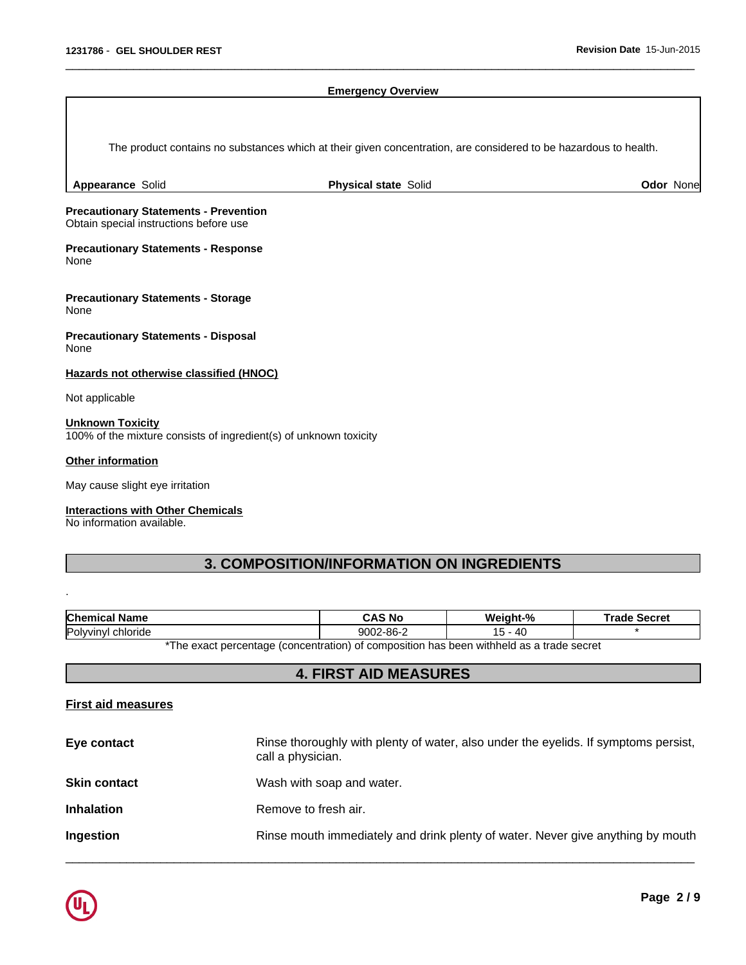#### **Emergency Overview**

 $\overline{\phantom{a}}$  ,  $\overline{\phantom{a}}$  ,  $\overline{\phantom{a}}$  ,  $\overline{\phantom{a}}$  ,  $\overline{\phantom{a}}$  ,  $\overline{\phantom{a}}$  ,  $\overline{\phantom{a}}$  ,  $\overline{\phantom{a}}$  ,  $\overline{\phantom{a}}$  ,  $\overline{\phantom{a}}$  ,  $\overline{\phantom{a}}$  ,  $\overline{\phantom{a}}$  ,  $\overline{\phantom{a}}$  ,  $\overline{\phantom{a}}$  ,  $\overline{\phantom{a}}$  ,  $\overline{\phantom{a}}$ 

The product contains no substances which at their given concentration, are considered to be hazardous to health.

**Appearance** Solid **Physical state** Solid **Odor** None

#### **Precautionary Statements - Prevention** Obtain special instructions before use

**Precautionary Statements - Response** None

**Precautionary Statements - Storage** None

**Precautionary Statements - Disposal** None

**Hazards not otherwise classified (HNOC)**

Not applicable

## **Unknown Toxicity**

100% of the mixture consists of ingredient(s) of unknown toxicity

#### **Other information**

.

May cause slight eye irritation

#### **Interactions with Other Chemicals**

No information available.

# **3. COMPOSITION/INFORMATION ON INGREDIENTS**

| <b>Chemical Name</b> |                                                                                          | CAS No    | Weight-% | <b>Trade Secret</b> |
|----------------------|------------------------------------------------------------------------------------------|-----------|----------|---------------------|
| Polyvinyl chloride   |                                                                                          | 9002-86-2 | 15 - 40  |                     |
|                      | *The exact percentage (concentration) of composition has been withheld as a trade secret |           |          |                     |

## **4. FIRST AID MEASURES**

## **First aid measures**

| Eye contact         | Rinse thoroughly with plenty of water, also under the eyelids. If symptoms persist,<br>call a physician. |
|---------------------|----------------------------------------------------------------------------------------------------------|
| <b>Skin contact</b> | Wash with soap and water.                                                                                |
| <b>Inhalation</b>   | Remove to fresh air.                                                                                     |
| Ingestion           | Rinse mouth immediately and drink plenty of water. Never give anything by mouth                          |
|                     |                                                                                                          |

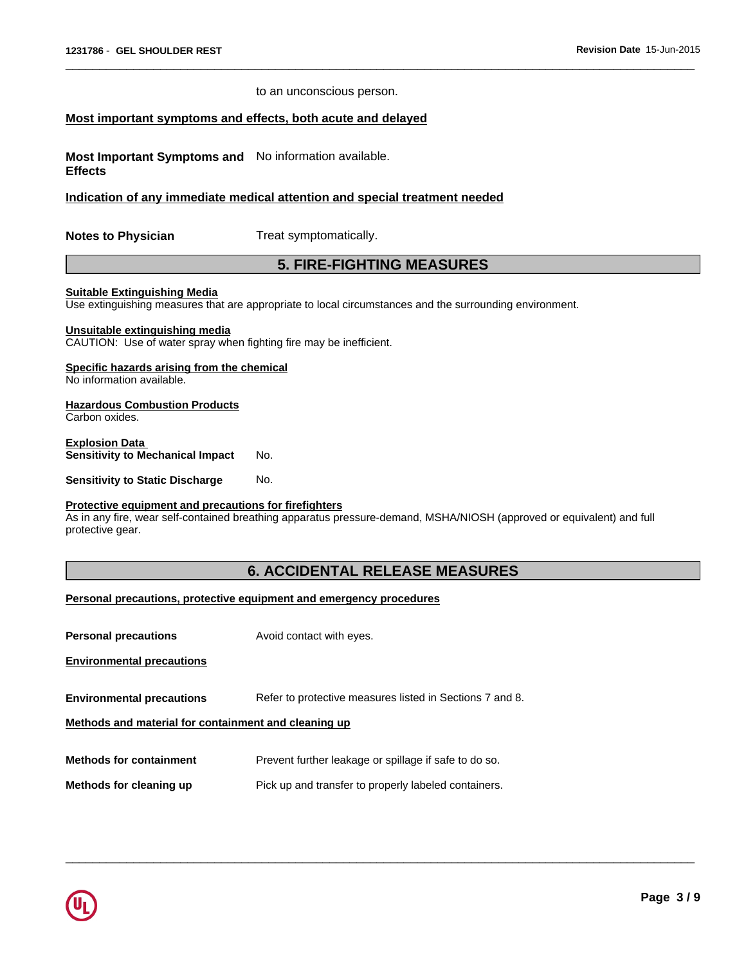to an unconscious person.

## **Most important symptoms and effects, both acute and delayed**

**Most Important Symptoms and** No information available.

**Effects**

## **Indication of any immediate medical attention and special treatment needed**

**Notes to Physician** Treat symptomatically.

# **5. FIRE-FIGHTING MEASURES**

 $\overline{\phantom{a}}$  ,  $\overline{\phantom{a}}$  ,  $\overline{\phantom{a}}$  ,  $\overline{\phantom{a}}$  ,  $\overline{\phantom{a}}$  ,  $\overline{\phantom{a}}$  ,  $\overline{\phantom{a}}$  ,  $\overline{\phantom{a}}$  ,  $\overline{\phantom{a}}$  ,  $\overline{\phantom{a}}$  ,  $\overline{\phantom{a}}$  ,  $\overline{\phantom{a}}$  ,  $\overline{\phantom{a}}$  ,  $\overline{\phantom{a}}$  ,  $\overline{\phantom{a}}$  ,  $\overline{\phantom{a}}$ 

### **Suitable Extinguishing Media**

Use extinguishing measures that are appropriate to local circumstances and the surrounding environment.

### **Unsuitable extinguishing media**

CAUTION: Use of water spray when fighting fire may be inefficient.

## **Specific hazards arising from the chemical**

No information available.

# **Hazardous Combustion Products**

Carbon oxides.

**Explosion Data Sensitivity to Mechanical Impact** No.

**Sensitivity to Static Discharge No.** 

#### **Protective equipment and precautions for firefighters**

As in any fire, wear self-contained breathing apparatus pressure-demand, MSHA/NIOSH (approved or equivalent) and full protective gear.

# **6. ACCIDENTAL RELEASE MEASURES**

 $\overline{\phantom{a}}$  ,  $\overline{\phantom{a}}$  ,  $\overline{\phantom{a}}$  ,  $\overline{\phantom{a}}$  ,  $\overline{\phantom{a}}$  ,  $\overline{\phantom{a}}$  ,  $\overline{\phantom{a}}$  ,  $\overline{\phantom{a}}$  ,  $\overline{\phantom{a}}$  ,  $\overline{\phantom{a}}$  ,  $\overline{\phantom{a}}$  ,  $\overline{\phantom{a}}$  ,  $\overline{\phantom{a}}$  ,  $\overline{\phantom{a}}$  ,  $\overline{\phantom{a}}$  ,  $\overline{\phantom{a}}$ 

### **Personal precautions, protective equipment and emergency procedures**

| <b>Personal precautions</b>                          | Avoid contact with eyes.                                 |
|------------------------------------------------------|----------------------------------------------------------|
| <b>Environmental precautions</b>                     |                                                          |
| <b>Environmental precautions</b>                     | Refer to protective measures listed in Sections 7 and 8. |
| Methods and material for containment and cleaning up |                                                          |
|                                                      |                                                          |
| <b>Methods for containment</b>                       | Prevent further leakage or spillage if safe to do so.    |
| Methods for cleaning up                              | Pick up and transfer to properly labeled containers.     |

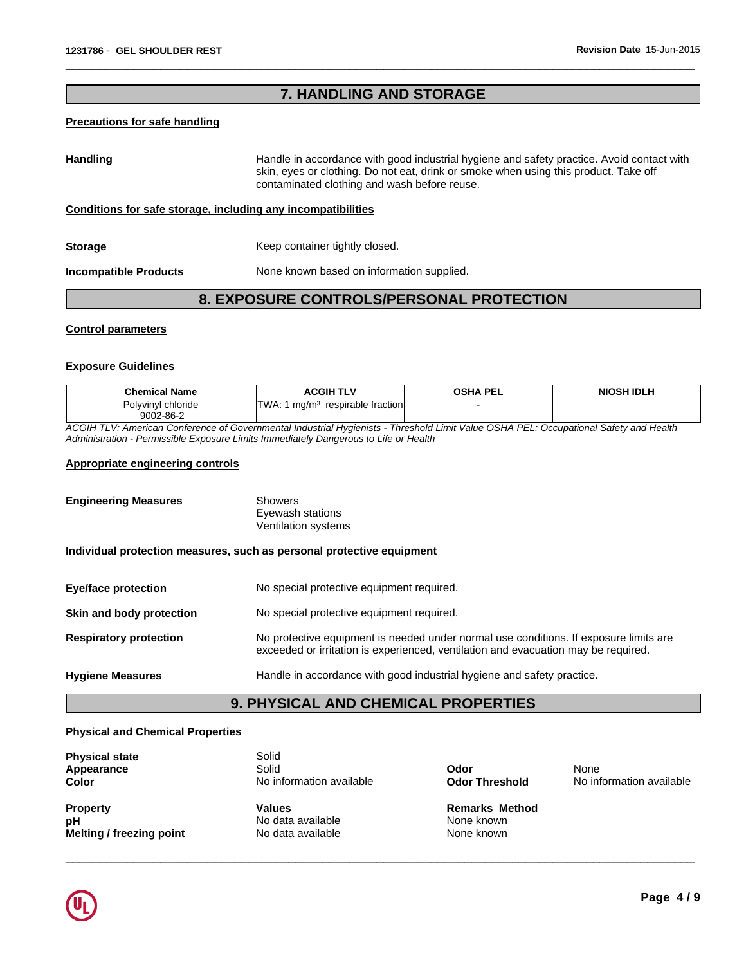# **7. HANDLING AND STORAGE**

 $\overline{\phantom{a}}$  ,  $\overline{\phantom{a}}$  ,  $\overline{\phantom{a}}$  ,  $\overline{\phantom{a}}$  ,  $\overline{\phantom{a}}$  ,  $\overline{\phantom{a}}$  ,  $\overline{\phantom{a}}$  ,  $\overline{\phantom{a}}$  ,  $\overline{\phantom{a}}$  ,  $\overline{\phantom{a}}$  ,  $\overline{\phantom{a}}$  ,  $\overline{\phantom{a}}$  ,  $\overline{\phantom{a}}$  ,  $\overline{\phantom{a}}$  ,  $\overline{\phantom{a}}$  ,  $\overline{\phantom{a}}$ 

#### **Precautions for safe handling**

**Handling** Handle in accordance with good industrial hygiene and safety practice. Avoid contact with skin, eyes or clothing. Do not eat, drink or smoke when using this product. Take off contaminated clothing and wash before reuse.

## **Conditions for safe storage, including any incompatibilities**

**Storage** Keep container tightly closed. **Incompatible Products** None known based on information supplied.

## **8. EXPOSURE CONTROLS/PERSONAL PROTECTION**

### **Control parameters**

#### **Exposure Guidelines**

| <b>Chemical Name</b>    | <b>ACGIH</b><br>TLV                | <b>OSHA PEL</b> | <b>NIOSH IDLH</b> |
|-------------------------|------------------------------------|-----------------|-------------------|
| Polvvinvl<br>chloride ، | ™A:<br>respirable fraction<br>ma/m |                 |                   |
| 9002-86-2               |                                    |                 |                   |

*ACGIH TLV: American Conference of Governmental Industrial Hygienists - Threshold Limit Value OSHA PEL: Occupational Safety and Health Administration - Permissible Exposure Limits Immediately Dangerous to Life or Health*

## **Appropriate engineering controls**

| <b>Engineering Measures</b>                                           | <b>Showers</b><br>Eyewash stations<br>Ventilation systems |
|-----------------------------------------------------------------------|-----------------------------------------------------------|
| Individual protection measures, such as personal protective equipment |                                                           |

**Eye/face protection** No special protective equipment required.

**Skin and body protection** No special protective equipment required.

| <b>Respiratory protection</b> | No protective equipment is needed under normal use conditions. If exposure limits are<br>exceeded or irritation is experienced, ventilation and evacuation may be required. |
|-------------------------------|-----------------------------------------------------------------------------------------------------------------------------------------------------------------------------|
|                               |                                                                                                                                                                             |

### **Hygiene Measures** Handle in accordance with good industrial hygiene and safety practice.

# **9. PHYSICAL AND CHEMICAL PROPERTIES**

### **Physical and Chemical Properties**

| <b>Physical state</b>    | Solid                    |                       |                          |
|--------------------------|--------------------------|-----------------------|--------------------------|
| Appearance               | Solid                    | Odor                  | None                     |
| Color                    | No information available | <b>Odor Threshold</b> | No information available |
|                          |                          |                       |                          |
| <b>Property</b>          | Values                   | <b>Remarks Method</b> |                          |
| рH                       | No data available        | None known            |                          |
| Melting / freezing point | No data available        | None known            |                          |
|                          |                          |                       |                          |

 $\overline{\phantom{a}}$  ,  $\overline{\phantom{a}}$  ,  $\overline{\phantom{a}}$  ,  $\overline{\phantom{a}}$  ,  $\overline{\phantom{a}}$  ,  $\overline{\phantom{a}}$  ,  $\overline{\phantom{a}}$  ,  $\overline{\phantom{a}}$  ,  $\overline{\phantom{a}}$  ,  $\overline{\phantom{a}}$  ,  $\overline{\phantom{a}}$  ,  $\overline{\phantom{a}}$  ,  $\overline{\phantom{a}}$  ,  $\overline{\phantom{a}}$  ,  $\overline{\phantom{a}}$  ,  $\overline{\phantom{a}}$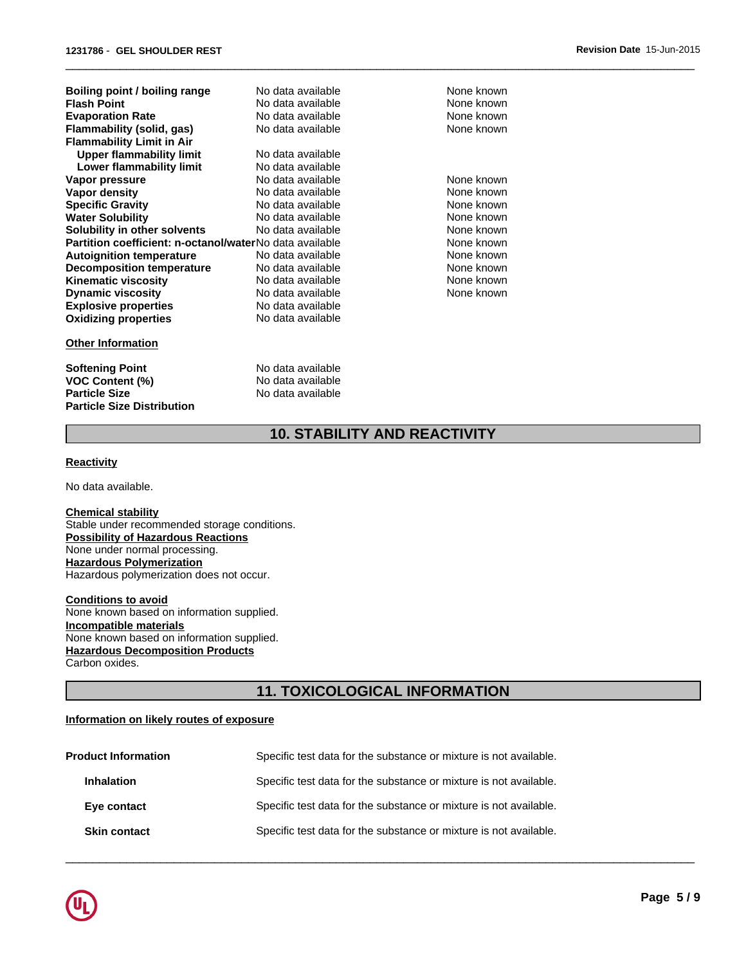| Boiling point / boiling range<br><b>Flash Point</b><br><b>Evaporation Rate</b><br>Flammability (solid, gas)<br><b>Flammability Limit in Air</b><br><b>Upper flammability limit</b> | No data available<br>No data available<br>No data available<br>No data available<br>No data available | None known<br>None known<br>None known<br>None known |
|------------------------------------------------------------------------------------------------------------------------------------------------------------------------------------|-------------------------------------------------------------------------------------------------------|------------------------------------------------------|
| Lower flammability limit                                                                                                                                                           | No data available                                                                                     |                                                      |
| Vapor pressure                                                                                                                                                                     | No data available                                                                                     | None known                                           |
| Vapor density                                                                                                                                                                      | No data available                                                                                     | None known                                           |
| <b>Specific Gravity</b>                                                                                                                                                            | No data available                                                                                     | None known                                           |
| <b>Water Solubility</b>                                                                                                                                                            | No data available                                                                                     | None known                                           |
| Solubility in other solvents                                                                                                                                                       | No data available                                                                                     | None known                                           |
| Partition coefficient: n-octanol/waterNo data available                                                                                                                            |                                                                                                       | None known                                           |
| <b>Autoignition temperature</b>                                                                                                                                                    | No data available                                                                                     | None known                                           |
| <b>Decomposition temperature</b>                                                                                                                                                   | No data available                                                                                     | None known                                           |
| <b>Kinematic viscosity</b>                                                                                                                                                         | No data available                                                                                     | None known                                           |
| <b>Dynamic viscosity</b>                                                                                                                                                           | No data available                                                                                     | None known                                           |
| <b>Explosive properties</b>                                                                                                                                                        | No data available                                                                                     |                                                      |
| <b>Oxidizing properties</b>                                                                                                                                                        | No data available                                                                                     |                                                      |

#### **Other Information**

**Softening Point**<br> **VOC Content (%)**<br> **No data available VOC Content (%)**<br>Particle Size **Particle Size Distribution**

**No data available** 

 $\overline{\phantom{a}}$  ,  $\overline{\phantom{a}}$  ,  $\overline{\phantom{a}}$  ,  $\overline{\phantom{a}}$  ,  $\overline{\phantom{a}}$  ,  $\overline{\phantom{a}}$  ,  $\overline{\phantom{a}}$  ,  $\overline{\phantom{a}}$  ,  $\overline{\phantom{a}}$  ,  $\overline{\phantom{a}}$  ,  $\overline{\phantom{a}}$  ,  $\overline{\phantom{a}}$  ,  $\overline{\phantom{a}}$  ,  $\overline{\phantom{a}}$  ,  $\overline{\phantom{a}}$  ,  $\overline{\phantom{a}}$ 

# **10. STABILITY AND REACTIVITY**

## **Reactivity**

No data available.

**Chemical stability** Stable under recommended storage conditions. **Possibility of Hazardous Reactions** None under normal processing. **Hazardous Polymerization** Hazardous polymerization does not occur.

**Conditions to avoid** None known based on information supplied. **Incompatible materials** None known based on information supplied. **Hazardous Decomposition Products** Carbon oxides.

# **11. TOXICOLOGICAL INFORMATION**

 $\overline{\phantom{a}}$  ,  $\overline{\phantom{a}}$  ,  $\overline{\phantom{a}}$  ,  $\overline{\phantom{a}}$  ,  $\overline{\phantom{a}}$  ,  $\overline{\phantom{a}}$  ,  $\overline{\phantom{a}}$  ,  $\overline{\phantom{a}}$  ,  $\overline{\phantom{a}}$  ,  $\overline{\phantom{a}}$  ,  $\overline{\phantom{a}}$  ,  $\overline{\phantom{a}}$  ,  $\overline{\phantom{a}}$  ,  $\overline{\phantom{a}}$  ,  $\overline{\phantom{a}}$  ,  $\overline{\phantom{a}}$ 

#### **Information on likely routes of exposure**

| <b>Product Information</b> | Specific test data for the substance or mixture is not available. |
|----------------------------|-------------------------------------------------------------------|
| <b>Inhalation</b>          | Specific test data for the substance or mixture is not available. |
| Eye contact                | Specific test data for the substance or mixture is not available. |
| <b>Skin contact</b>        | Specific test data for the substance or mixture is not available. |
|                            |                                                                   |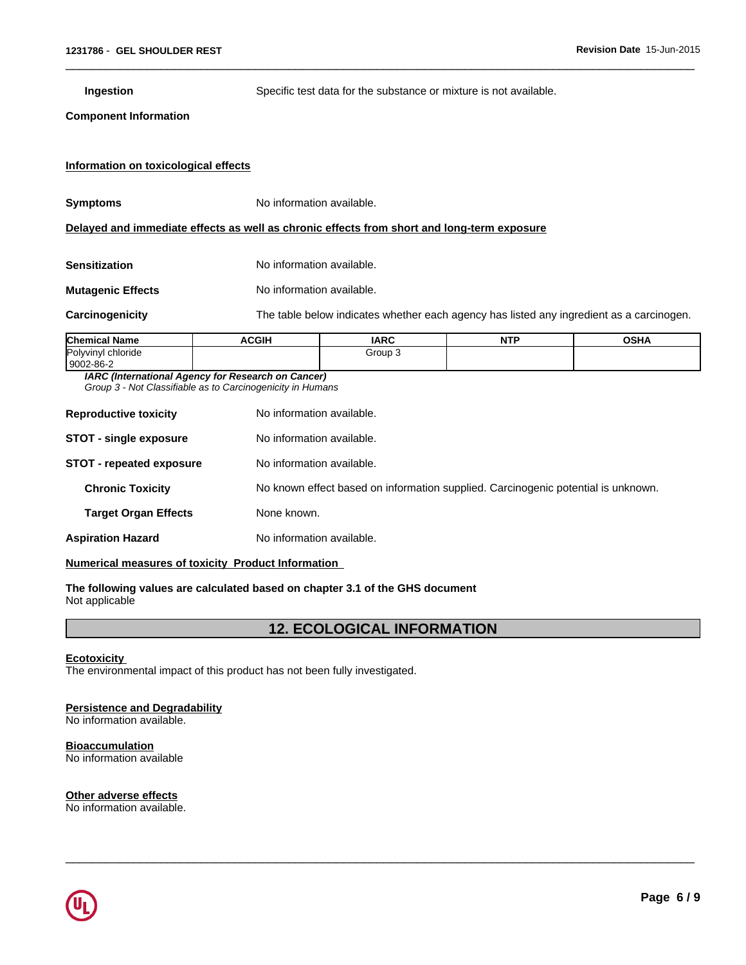**Ingestion** Specific test data for the substance or mixture is not available.

 $\overline{\phantom{a}}$  ,  $\overline{\phantom{a}}$  ,  $\overline{\phantom{a}}$  ,  $\overline{\phantom{a}}$  ,  $\overline{\phantom{a}}$  ,  $\overline{\phantom{a}}$  ,  $\overline{\phantom{a}}$  ,  $\overline{\phantom{a}}$  ,  $\overline{\phantom{a}}$  ,  $\overline{\phantom{a}}$  ,  $\overline{\phantom{a}}$  ,  $\overline{\phantom{a}}$  ,  $\overline{\phantom{a}}$  ,  $\overline{\phantom{a}}$  ,  $\overline{\phantom{a}}$  ,  $\overline{\phantom{a}}$ 

#### **Component Information**

| Information on toxicological effects |                                                                                            |
|--------------------------------------|--------------------------------------------------------------------------------------------|
| <b>Symptoms</b>                      | No information available.                                                                  |
|                                      | Delayed and immediate effects as well as chronic effects from short and long-term exposure |
| Sensitization                        | No information available.                                                                  |
| <b>Mutagenic Effects</b>             | No information available.                                                                  |
| Carcinogenicity                      | The table below indicates whether each agency has listed any ingredient as a carcinogen.   |

| <b>Chemical Name</b>    | <b>ACGIH</b> | <b>IARC</b> | <b>AIT</b><br>. | $\sim$ un<br>שסט |
|-------------------------|--------------|-------------|-----------------|------------------|
| Polyvinyl<br>l chloride |              | Group 3     |                 |                  |
| 9002-86-2               |              |             |                 |                  |

*IARC (International Agency for Research on Cancer) Group 3 - Not Classifiable as to Carcinogenicity in Humans*

| No information available.                                                         |
|-----------------------------------------------------------------------------------|
| No information available.                                                         |
| No information available.                                                         |
| No known effect based on information supplied. Carcinogenic potential is unknown. |
| None known.                                                                       |
| No information available.                                                         |
|                                                                                   |

## **Numerical measures of toxicity Product Information**

**The following values are calculated based on chapter 3.1 of the GHS document** Not applicable

## **12. ECOLOGICAL INFORMATION**

 $\overline{\phantom{a}}$  ,  $\overline{\phantom{a}}$  ,  $\overline{\phantom{a}}$  ,  $\overline{\phantom{a}}$  ,  $\overline{\phantom{a}}$  ,  $\overline{\phantom{a}}$  ,  $\overline{\phantom{a}}$  ,  $\overline{\phantom{a}}$  ,  $\overline{\phantom{a}}$  ,  $\overline{\phantom{a}}$  ,  $\overline{\phantom{a}}$  ,  $\overline{\phantom{a}}$  ,  $\overline{\phantom{a}}$  ,  $\overline{\phantom{a}}$  ,  $\overline{\phantom{a}}$  ,  $\overline{\phantom{a}}$ 

#### **Ecotoxicity**

The environmental impact of this product has not been fully investigated.

#### **Persistence and Degradability**

No information available.

#### **Bioaccumulation**

No information available

**Other adverse effects** No information available.

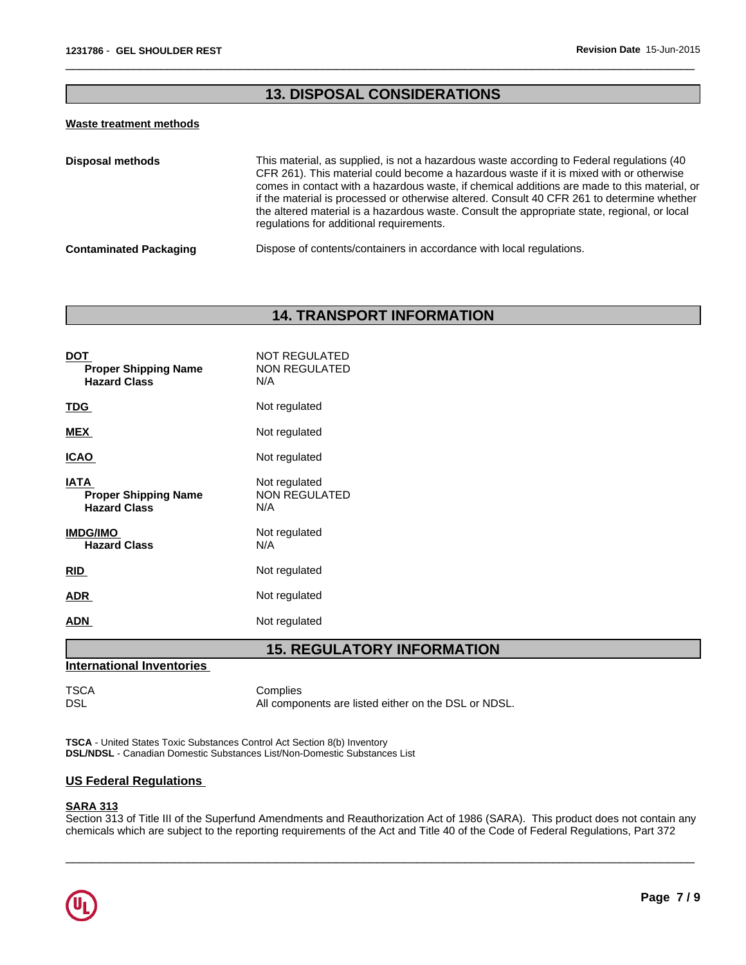# **13. DISPOSAL CONSIDERATIONS**

 $\overline{\phantom{a}}$  ,  $\overline{\phantom{a}}$  ,  $\overline{\phantom{a}}$  ,  $\overline{\phantom{a}}$  ,  $\overline{\phantom{a}}$  ,  $\overline{\phantom{a}}$  ,  $\overline{\phantom{a}}$  ,  $\overline{\phantom{a}}$  ,  $\overline{\phantom{a}}$  ,  $\overline{\phantom{a}}$  ,  $\overline{\phantom{a}}$  ,  $\overline{\phantom{a}}$  ,  $\overline{\phantom{a}}$  ,  $\overline{\phantom{a}}$  ,  $\overline{\phantom{a}}$  ,  $\overline{\phantom{a}}$ 

### **Waste treatment methods**

| <b>Disposal methods</b>       | This material, as supplied, is not a hazardous waste according to Federal regulations (40<br>CFR 261). This material could become a hazardous waste if it is mixed with or otherwise<br>comes in contact with a hazardous waste, if chemical additions are made to this material, or<br>if the material is processed or otherwise altered. Consult 40 CFR 261 to determine whether<br>the altered material is a hazardous waste. Consult the appropriate state, regional, or local<br>regulations for additional requirements. |
|-------------------------------|--------------------------------------------------------------------------------------------------------------------------------------------------------------------------------------------------------------------------------------------------------------------------------------------------------------------------------------------------------------------------------------------------------------------------------------------------------------------------------------------------------------------------------|
| <b>Contaminated Packaging</b> | Dispose of contents/containers in accordance with local regulations.                                                                                                                                                                                                                                                                                                                                                                                                                                                           |

# **14. TRANSPORT INFORMATION**

| <b>DOT</b><br><b>Proper Shipping Name</b><br><b>Hazard Class</b>  | <b>NOT REGULATED</b><br><b>NON REGULATED</b><br>N/A |
|-------------------------------------------------------------------|-----------------------------------------------------|
| <u>TDG</u>                                                        | Not regulated                                       |
| <b>MEX</b>                                                        | Not regulated                                       |
| <b>ICAO</b>                                                       | Not regulated                                       |
| <b>IATA</b><br><b>Proper Shipping Name</b><br><b>Hazard Class</b> | Not regulated<br><b>NON REGULATED</b><br>N/A        |
| <b>IMDG/IMO</b><br><b>Hazard Class</b>                            | Not regulated<br>N/A                                |
| <b>RID</b>                                                        | Not regulated                                       |
| <b>ADR</b>                                                        | Not regulated                                       |
| ADN                                                               | Not regulated                                       |

# **15. REGULATORY INFORMATION**

### **International Inventories**

TSCA Complies<br>DSL All compo All components are listed either on the DSL or NDSL.

**TSCA** - United States Toxic Substances Control Act Section 8(b) Inventory **DSL/NDSL** - Canadian Domestic Substances List/Non-Domestic Substances List

## **US Federal Regulations**

## **SARA 313**

Section 313 of Title III of the Superfund Amendments and Reauthorization Act of 1986 (SARA). This product does not contain any chemicals which are subject to the reporting requirements of the Act and Title 40 of the Code of Federal Regulations, Part 372

 $\overline{\phantom{a}}$  ,  $\overline{\phantom{a}}$  ,  $\overline{\phantom{a}}$  ,  $\overline{\phantom{a}}$  ,  $\overline{\phantom{a}}$  ,  $\overline{\phantom{a}}$  ,  $\overline{\phantom{a}}$  ,  $\overline{\phantom{a}}$  ,  $\overline{\phantom{a}}$  ,  $\overline{\phantom{a}}$  ,  $\overline{\phantom{a}}$  ,  $\overline{\phantom{a}}$  ,  $\overline{\phantom{a}}$  ,  $\overline{\phantom{a}}$  ,  $\overline{\phantom{a}}$  ,  $\overline{\phantom{a}}$ 

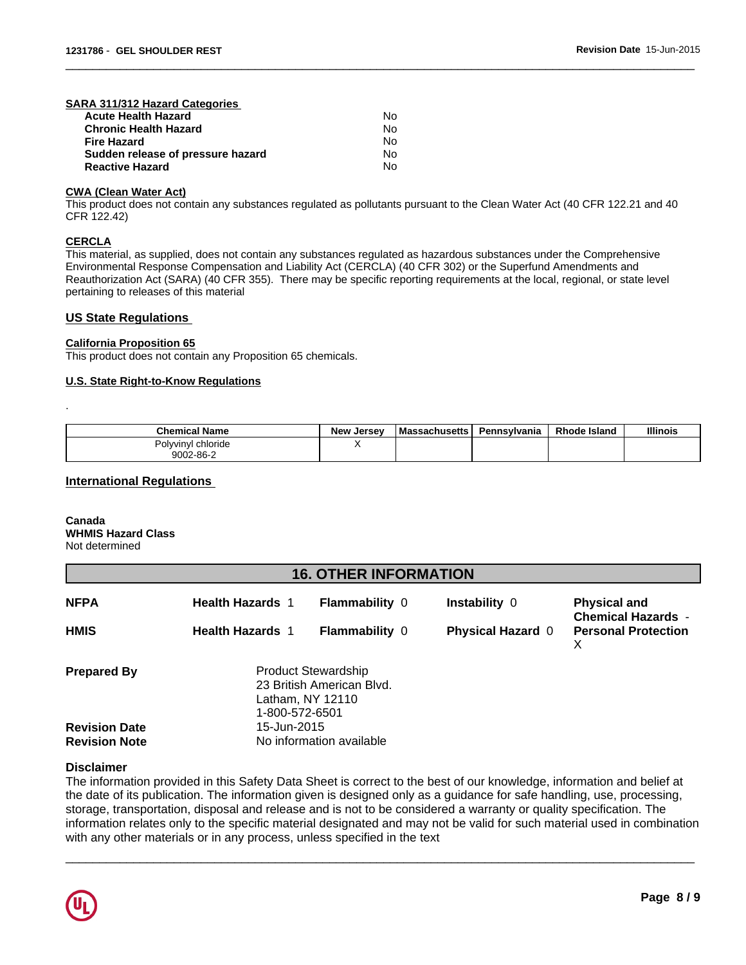|  | SARA 311/312 Hazard Categories |  |
|--|--------------------------------|--|
|  |                                |  |

| <b>Acute Health Hazard</b>        | Nο |  |
|-----------------------------------|----|--|
| <b>Chronic Health Hazard</b>      | N٥ |  |
| <b>Fire Hazard</b>                | N٥ |  |
| Sudden release of pressure hazard | N٥ |  |
| <b>Reactive Hazard</b>            | N٥ |  |

### **CWA (Clean Water Act)**

This product does not contain any substances regulated as pollutants pursuant to the Clean Water Act (40 CFR 122.21 and 40 CFR 122.42)

 $\overline{\phantom{a}}$  ,  $\overline{\phantom{a}}$  ,  $\overline{\phantom{a}}$  ,  $\overline{\phantom{a}}$  ,  $\overline{\phantom{a}}$  ,  $\overline{\phantom{a}}$  ,  $\overline{\phantom{a}}$  ,  $\overline{\phantom{a}}$  ,  $\overline{\phantom{a}}$  ,  $\overline{\phantom{a}}$  ,  $\overline{\phantom{a}}$  ,  $\overline{\phantom{a}}$  ,  $\overline{\phantom{a}}$  ,  $\overline{\phantom{a}}$  ,  $\overline{\phantom{a}}$  ,  $\overline{\phantom{a}}$ 

### **CERCLA**

.

This material, as supplied, does not contain any substances regulated as hazardous substances under the Comprehensive Environmental Response Compensation and Liability Act (CERCLA) (40 CFR 302) or the Superfund Amendments and Reauthorization Act (SARA) (40 CFR 355). There may be specific reporting requirements at the local, regional, or state level pertaining to releases of this material

## **US State Regulations**

### **California Proposition 65**

This product does not contain any Proposition 65 chemicals.

## **U.S. State Right-to-Know Regulations**

| <b>Chemical Name</b>  | , Jersev<br><b>New</b> | l Massachusetts | Pennsvlvania | <b>Rhode Island</b> | <b>Illinois</b> |
|-----------------------|------------------------|-----------------|--------------|---------------------|-----------------|
| chloride<br>Polvvinvi |                        |                 |              |                     |                 |
| 9002-86-2             |                        |                 |              |                     |                 |

### **International Regulations**

#### **Canada WHMIS Hazard Class** Not determined

| <b>16. OTHER INFORMATION</b> |                               |                                                         |                          |                                                  |  |
|------------------------------|-------------------------------|---------------------------------------------------------|--------------------------|--------------------------------------------------|--|
| <b>NFPA</b>                  | <b>Health Hazards 1</b>       | <b>Flammability 0</b>                                   | Instability 0            | <b>Physical and</b><br><b>Chemical Hazards -</b> |  |
| <b>HMIS</b>                  | <b>Health Hazards 1</b>       | <b>Flammability 0</b>                                   | <b>Physical Hazard 0</b> | <b>Personal Protection</b><br>X                  |  |
| <b>Prepared By</b>           |                               | <b>Product Stewardship</b><br>23 British American Blvd. |                          |                                                  |  |
|                              |                               | Latham, NY 12110                                        |                          |                                                  |  |
| <b>Revision Date</b>         | 1-800-572-6501<br>15-Jun-2015 |                                                         |                          |                                                  |  |
| <b>Revision Note</b>         | No information available      |                                                         |                          |                                                  |  |

### **Disclaimer**

The information provided in this Safety Data Sheet is correct to the best of our knowledge, information and belief at the date of its publication. The information given is designed only as a guidance for safe handling, use, processing, storage, transportation, disposal and release and is not to be considered a warranty or quality specification. The information relates only to the specific material designated and may not be valid for such material used in combination with any other materials or in any process, unless specified in the text

 $\overline{\phantom{a}}$  ,  $\overline{\phantom{a}}$  ,  $\overline{\phantom{a}}$  ,  $\overline{\phantom{a}}$  ,  $\overline{\phantom{a}}$  ,  $\overline{\phantom{a}}$  ,  $\overline{\phantom{a}}$  ,  $\overline{\phantom{a}}$  ,  $\overline{\phantom{a}}$  ,  $\overline{\phantom{a}}$  ,  $\overline{\phantom{a}}$  ,  $\overline{\phantom{a}}$  ,  $\overline{\phantom{a}}$  ,  $\overline{\phantom{a}}$  ,  $\overline{\phantom{a}}$  ,  $\overline{\phantom{a}}$